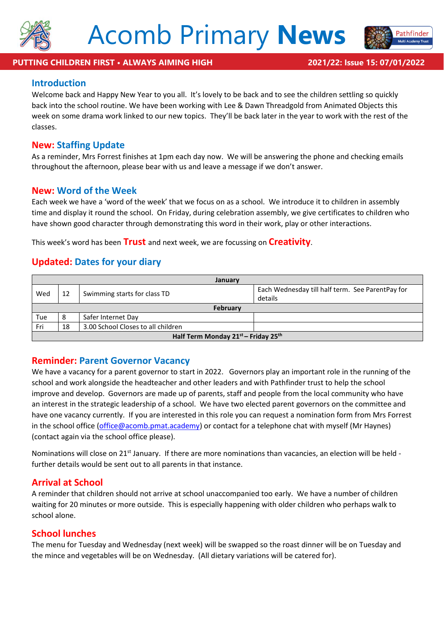



athfinder

### **Introduction**

Welcome back and Happy New Year to you all. It's lovely to be back and to see the children settling so quickly back into the school routine. We have been working with Lee & Dawn Threadgold from Animated Objects this week on some drama work linked to our new topics. They'll be back later in the year to work with the rest of the classes.

#### **New: Staffing Update**

As a reminder, Mrs Forrest finishes at 1pm each day now. We will be answering the phone and checking emails throughout the afternoon, please bear with us and leave a message if we don't answer.

#### **New: Word of the Week**

Each week we have a 'word of the week' that we focus on as a school. We introduce it to children in assembly time and display it round the school. On Friday, during celebration assembly, we give certificates to children who have shown good character through demonstrating this word in their work, play or other interactions.

This week's word has been **Trust** and next week, we are focussing on **Creativity**.

# **Updated: Dates for your diary**

| January                             |    |                                    |                                                             |  |  |  |  |
|-------------------------------------|----|------------------------------------|-------------------------------------------------------------|--|--|--|--|
| Wed                                 | 12 | Swimming starts for class TD       | Each Wednesday till half term. See ParentPay for<br>details |  |  |  |  |
| February                            |    |                                    |                                                             |  |  |  |  |
| Tue                                 | 8  | Safer Internet Day                 |                                                             |  |  |  |  |
| Fri                                 | 18 | 3.00 School Closes to all children |                                                             |  |  |  |  |
| Half Term Monday 21st - Friday 25th |    |                                    |                                                             |  |  |  |  |

# **Reminder: Parent Governor Vacancy**

We have a vacancy for a parent governor to start in 2022. Governors play an important role in the running of the school and work alongside the headteacher and other leaders and with Pathfinder trust to help the school improve and develop. Governors are made up of parents, staff and people from the local community who have an interest in the strategic leadership of a school. We have two elected parent governors on the committee and have one vacancy currently. If you are interested in this role you can request a nomination form from Mrs Forrest in the school office [\(office@acomb.pmat.academy\)](mailto:office@acomb.pmat.academy) or contact for a telephone chat with myself (Mr Haynes) (contact again via the school office please).

Nominations will close on 21<sup>st</sup> January. If there are more nominations than vacancies, an election will be held further details would be sent out to all parents in that instance.

# **Arrival at School**

A reminder that children should not arrive at school unaccompanied too early. We have a number of children waiting for 20 minutes or more outside. This is especially happening with older children who perhaps walk to school alone.

#### **School lunches**

The menu for Tuesday and Wednesday (next week) will be swapped so the roast dinner will be on Tuesday and the mince and vegetables will be on Wednesday. (All dietary variations will be catered for).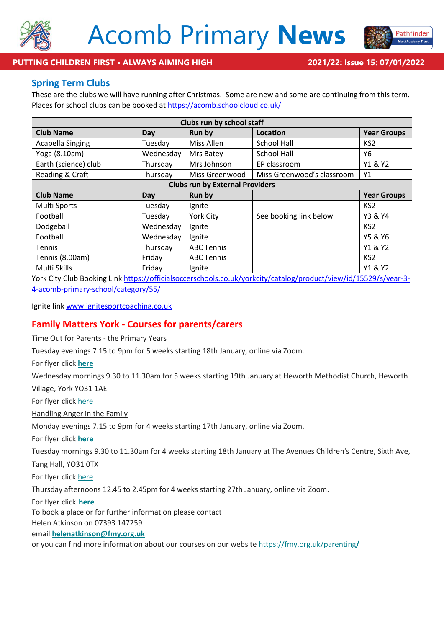



**PUTTING CHILDREN FIRST • ALWAYS AIMING HIGH 2021/22: Issue 15: 07/01/2022**

## **Spring Term Clubs**

These are the clubs we will have running after Christmas. Some are new and some are continuing from this term. Places for school clubs can be booked at<https://acomb.schoolcloud.co.uk/>

| Clubs run by school staff              |           |                   |                            |                    |  |  |  |
|----------------------------------------|-----------|-------------------|----------------------------|--------------------|--|--|--|
| <b>Club Name</b>                       | Day       | Run by            | Location                   | <b>Year Groups</b> |  |  |  |
| <b>Acapella Singing</b>                | Tuesday   | Miss Allen        | <b>School Hall</b>         | KS <sub>2</sub>    |  |  |  |
| Yoga (8.10am)                          | Wednesday | Mrs Batey         | <b>School Hall</b>         | Υ6                 |  |  |  |
| Earth (science) club                   | Thursday  | Mrs Johnson       | EP classroom               | Y1 & Y2            |  |  |  |
| Reading & Craft                        | Thursday  | Miss Greenwood    | Miss Greenwood's classroom | Y1                 |  |  |  |
| <b>Clubs run by External Providers</b> |           |                   |                            |                    |  |  |  |
| <b>Club Name</b>                       | Day       | Run by            |                            | <b>Year Groups</b> |  |  |  |
| Multi Sports                           | Tuesday   | Ignite            |                            | KS <sub>2</sub>    |  |  |  |
| Football                               | Tuesday   | <b>York City</b>  | See booking link below     | Y3 & Y4            |  |  |  |
| Dodgeball                              | Wednesday | Ignite            |                            | KS <sub>2</sub>    |  |  |  |
| Football                               | Wednesday | Ignite            |                            | Y5 & Y6            |  |  |  |
| <b>Tennis</b>                          | Thursday  | <b>ABC Tennis</b> |                            | Y1 & Y2            |  |  |  |
| Tennis (8.00am)                        | Friday    | <b>ABC Tennis</b> |                            | KS <sub>2</sub>    |  |  |  |
| Multi Skills                           | Friday    | Ignite            |                            | Y1 & Y2            |  |  |  |

York City Club Booking Link [https://officialsoccerschools.co.uk/yorkcity/catalog/product/view/id/15529/s/year-3-](https://officialsoccerschools.co.uk/yorkcity/catalog/product/view/id/15529/s/year-3-4-acomb-primary-school/category/55/) [4-acomb-primary-school/category/55/](https://officialsoccerschools.co.uk/yorkcity/catalog/product/view/id/15529/s/year-3-4-acomb-primary-school/category/55/)

Ignite link [www.ignitesportcoaching.co.uk](http://www.ignitesportcoaching.co.uk/)

# **Family Matters York - Courses for parents/carers**

Time Out for Parents - the Primary Years

Tuesday evenings 7.15 to 9pm for 5 weeks starting 18th January, online via Zoom.

For flyer click **[here](https://fmy.us2.list-manage.com/track/click?u=474a5c81c8b8dd94a65c4787d&id=07ff2705d4&e=3a854b0c68)**

Wednesday mornings 9.30 to 11.30am for 5 weeks starting 19th January at Heworth Methodist Church, Heworth Village, York YO31 1AE

For flyer click [here](https://fmy.us2.list-manage.com/track/click?u=474a5c81c8b8dd94a65c4787d&id=865c4f102b&e=3a854b0c68)

Handling Anger in the Family

Monday evenings 7.15 to 9pm for 4 weeks starting 17th January, online via Zoom.

For flyer click **[here](https://fmy.us2.list-manage.com/track/click?u=474a5c81c8b8dd94a65c4787d&id=5f30b8b49f&e=3a854b0c68)**

Tuesday mornings 9.30 to 11.30am for 4 weeks starting 18th January at The Avenues Children's Centre, Sixth Ave,

Tang Hall, YO31 0TX

For flyer click [here](https://fmy.us2.list-manage.com/track/click?u=474a5c81c8b8dd94a65c4787d&id=037973c410&e=3a854b0c68)

Thursday afternoons 12.45 to 2.45pm for 4 weeks starting 27th January, online via Zoom.

For flyer click **[here](https://fmy.us2.list-manage.com/track/click?u=474a5c81c8b8dd94a65c4787d&id=cc7258c52b&e=3a854b0c68)**

To book a place or for further information please contact

Helen Atkinson on 07393 147259

email **[helenatkinson@fmy.org.uk](mailto:helenatkinson@fmy.org.uk)**

or you can find more information about our courses on our website [https://fmy.org.uk/parenting](https://fmy.us2.list-manage.com/track/click?u=474a5c81c8b8dd94a65c4787d&id=a388201610&e=3a854b0c68)**/**